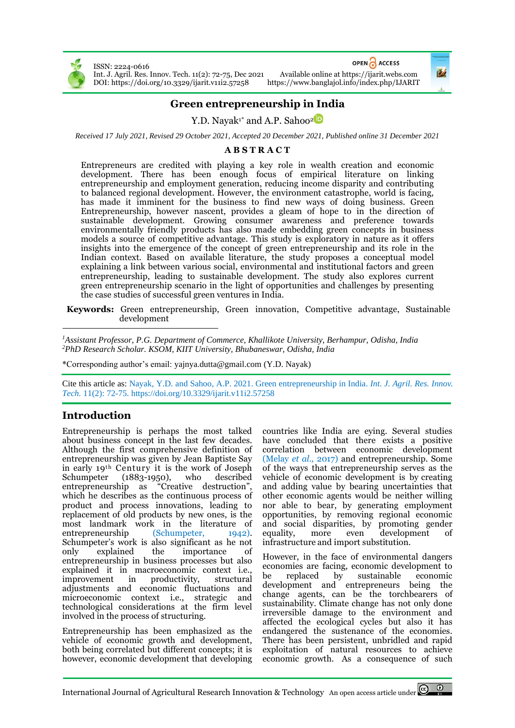

ISSN: 2224-0616 Int. J. Agril. Res. Innov. Tech. 11(2): 72-75, Dec 2021 Available online a[t https://ijarit.webs.com](http://ijarit.webs.com/) DOI[: https://doi.org/10.3329/ijarit.v11i2.57258](https://doi.org/10.3329/ijarit.v11i2.57258)

OPEN CACCESS

# **Green entrepreneurship in India**

Y.D. Nayak<sup>1\*</sup> and A.P. Sahoo<sup>2</sup><sup>D</sup>

*Received 17 July 2021, Revised 29 October 2021, Accepted 20 December 2021, Published online 31 December 2021*

#### **A B S T R A C T**

Entrepreneurs are credited with playing a key role in wealth creation and economic development. There has been enough focus of empirical literature on linking entrepreneurship and employment generation, reducing income disparity and contributing to balanced regional development. However, the environment catastrophe, world is facing, has made it imminent for the business to find new ways of doing business. Green Entrepreneurship, however nascent, provides a gleam of hope to in the direction of sustainable development. Growing consumer awareness and preference towards environmentally friendly products has also made embedding green concepts in business models a source of competitive advantage. This study is exploratory in nature as it offers insights into the emergence of the concept of green entrepreneurship and its role in the Indian context. Based on available literature, the study proposes a conceptual model explaining a link between various social, environmental and institutional factors and green entrepreneurship, leading to sustainable development. The study also explores current green entrepreneurship scenario in the light of opportunities and challenges by presenting the case studies of successful green ventures in India.

**Keywords:** Green entrepreneurship, Green innovation, Competitive advantage, Sustainable development

*<sup>1</sup>Assistant Professor, P.G. Department of Commerce, Khallikote University, Berhampur, Odisha, India <sup>2</sup>PhD Research Scholar. KSOM, KIIT University, Bhubaneswar, Odisha, India*

\*Corresponding author's email: yajnya.dutta@gmail.com (Y.D. Nayak)

Cite this article as: Nayak, Y.D. and Sahoo, A.P. 2021. Green entrepreneurship in India. *Int. J. Agril. Res. Innov. Tech.* 11(2): 72-75. <https://doi.org/10.3329/ijarit.v11i2.57258>

## **Introduction**

Entrepreneurship is perhaps the most talked about business concept in the last few decades. Although the first comprehensive definition of entrepreneurship was given by Jean Baptiste Say in early 19th Century it is the work of Joseph Schumpeter (1883-1950), who described entrepreneurship as "Creative destruction", which he describes as the continuous process of product and process innovations, leading to replacement of old products by new ones, is the most landmark work in the literature of entrepreneurship (Schumpeter, 1942). entrepreneurship (Schumpeter, 1942). Schumpeter's work is also significant as he not only explained the importance of entrepreneurship in business processes but also explained it in macroeconomic context i.e., improvement in productivity, structural adjustments and economic fluctuations and microeconomic context i.e., strategic and technological considerations at the firm level involved in the process of structuring.

Entrepreneurship has been emphasized as the vehicle of economic growth and development, both being correlated but different concepts; it is however, economic development that developing

countries like India are eying. Several studies have concluded that there exists a positive correlation between economic development (Melay *et al.,* 2017) and entrepreneurship. Some of the ways that entrepreneurship serves as the vehicle of economic development is by creating and adding value by bearing uncertainties that other economic agents would be neither willing nor able to bear, by generating employment opportunities, by removing regional economic and social disparities, by promoting gender equality, more even development infrastructure and import substitution.

However, in the face of environmental dangers economies are facing, economic development to be replaced by sustainable economic development and entrepreneurs being the change agents, can be the torchbearers of sustainability. Climate change has not only done irreversible damage to the environment and affected the ecological cycles but also it has endangered the sustenance of the economies. There has been persistent, unbridled and rapid exploitation of natural resources to achieve economic growth. As a consequence of such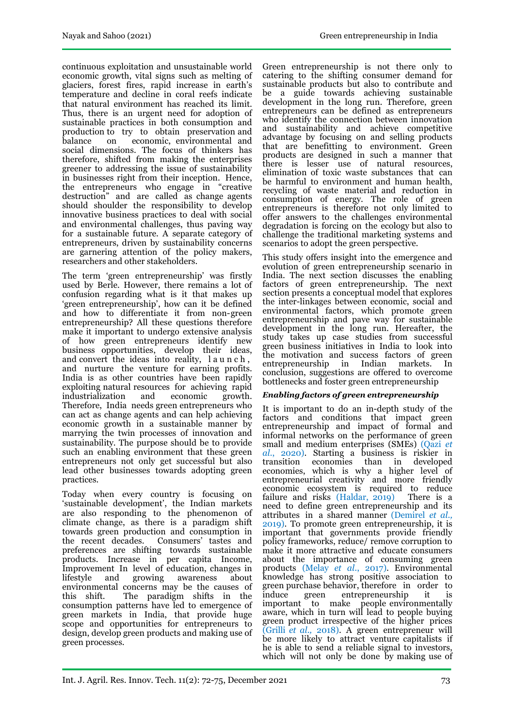continuous exploitation and unsustainable world economic growth, vital signs such as melting of glaciers, forest fires, rapid increase in earth's temperature and decline in coral reefs indicate that natural environment has reached its limit. Thus, there is an urgent need for adoption of sustainable practices in both consumption and production to try to obtain preservation and balance on economic, environmental and social dimensions. The focus of thinkers has therefore, shifted from making the enterprises greener to addressing the issue of sustainability in businesses right from their inception. Hence, the entrepreneurs who engage in "creative destruction" and are called as change agents should shoulder the responsibility to develop innovative business practices to deal with social and environmental challenges, thus paving way for a sustainable future. A separate category of entrepreneurs, driven by sustainability concerns are garnering attention of the policy makers, researchers and other stakeholders.

The term 'green entrepreneurship' was firstly used by Berle. However, there remains a lot of confusion regarding what is it that makes up 'green entrepreneurship', how can it be defined and how to differentiate it from non-green entrepreneurship? All these questions therefore make it important to undergo extensive analysis of how green entrepreneurs identify new business opportunities, develop their ideas, and convert the ideas into reality, l a u n c h , and nurture the venture for earning profits. India is as other countries have been rapidly exploiting natural resources for achieving rapid<br>industrialization and economic growth. industrialization Therefore, India needs green entrepreneurs who can act as change agents and can help achieving economic growth in a sustainable manner by marrying the twin processes of innovation and sustainability. The purpose should be to provide such an enabling environment that these green entrepreneurs not only get successful but also lead other businesses towards adopting green practices.

Today when every country is focusing on 'sustainable development', the Indian markets are also responding to the phenomenon of climate change, as there is a paradigm shift towards green production and consumption in the recent decades. Consumers' tastes and preferences are shifting towards sustainable products. Increase in per capita Income, Improvement In level of education, changes in lifestyle and growing awareness about environmental concerns may be the causes of this shift. The paradigm shifts in the consumption patterns have led to emergence of green markets in India, that provide huge scope and opportunities for entrepreneurs to design, develop green products and making use of green processes.

Green entrepreneurship is not there only to catering to the shifting consumer demand for sustainable products but also to contribute and be a guide towards achieving sustainable development in the long run. Therefore, green entrepreneurs can be defined as entrepreneurs who identify the connection between innovation and sustainability and achieve competitive advantage by focusing on and selling products that are benefitting to environment. Green products are designed in such a manner that there is lesser use of natural resources, elimination of toxic waste substances that can be harmful to environment and human health, recycling of waste material and reduction in consumption of energy. The role of green entrepreneurs is therefore not only limited to offer answers to the challenges environmental degradation is forcing on the ecology but also to challenge the traditional marketing systems and scenarios to adopt the green perspective.

This study offers insight into the emergence and evolution of green entrepreneurship scenario in India. The next section discusses the enabling factors of green entrepreneurship. The next section presents a conceptual model that explores the inter-linkages between economic, social and environmental factors, which promote green entrepreneurship and pave way for sustainable development in the long run. Hereafter, the study takes up case studies from successful green business initiatives in India to look into the motivation and success factors of green entrepreneurship in Indian markets. In conclusion, suggestions are offered to overcome bottlenecks and foster green entrepreneurship

#### *Enabling factors of green entrepreneurship*

It is important to do an in-depth study of the factors and conditions that impact green entrepreneurship and impact of formal and informal networks on the performance of green small and medium enterprises (SMEs) (Qazi *et al.*, 2020). Starting a business is riskier in transition economies than in developed economies, which is why a higher level of entrepreneurial creativity and more friendly economic ecosystem is required to reduce failure and risks (Haldar, 2019) There is a need to define green entrepreneurship and its attributes in a shared manner (Demirel *et al.,* 2019). To promote green entrepreneurship, it is important that governments provide friendly policy frameworks, reduce/ remove corruption to make it more attractive and educate consumers about the importance of consuming green products (Melay *et al*., 2017). Environmental knowledge has strong positive association to green purchase behavior, therefore in order to induce green entrepreneurship it is important to make people environmentally aware, which in turn will lead to people buying green product irrespective of the higher prices (Grilli *et al.,* 2018). A green entrepreneur will be more likely to attract venture capitalists if he is able to send a reliable signal to investors, which will not only be done by making use of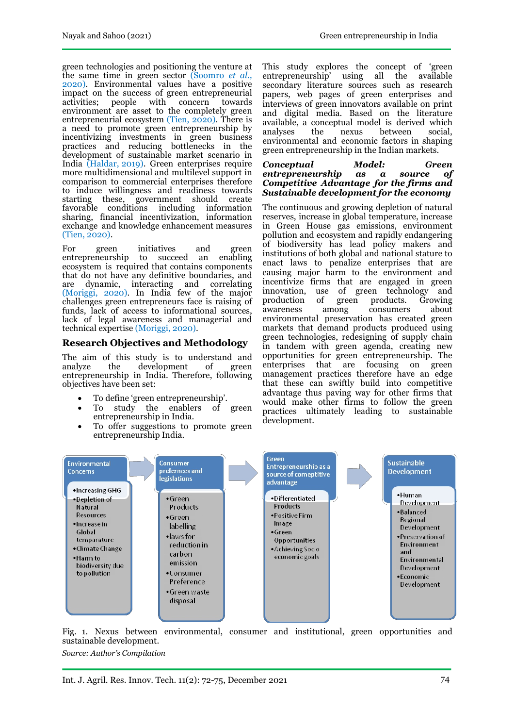green technologies and positioning the venture at the same time in green sector (Soomro *et al.,*  2020). Environmental values have a positive impact on the success of green entrepreneurial activities; people with concern towards environment are asset to the completely green entrepreneurial ecosystem (Tien, 2020). There is a need to promote green entrepreneurship by incentivizing investments in green business practices and reducing bottlenecks in the development of sustainable market scenario in India (Haldar, 2019). Green enterprises require more multidimensional and multilevel support in comparison to commercial enterprises therefore to induce willingness and readiness towards starting these, government should create favorable conditions including information sharing, financial incentivization, information exchange and knowledge enhancement measures (Tien, 2020).

For green initiatives and green entrepreneurship to succeed an enabling ecosystem is required that contains components that do not have any definitive boundaries, and are dynamic, interacting and correlating (Moriggi, 2020). In India few of the major challenges green entrepreneurs face is raising of funds, lack of access to informational sources, lack of legal awareness and managerial and technical expertise (Moriggi, 2020).

### **Research Objectives and Methodology**

The aim of this study is to understand and analyze the development of green analyze the development of entrepreneurship in India. Therefore, following objectives have been set:

- To define 'green entrepreneurship'.
- To study the enablers of green entrepreneurship in India.
- To offer suggestions to promote green entrepreneurship India.

This study explores the concept of 'green entrepreneurship' using all the available secondary literature sources such as research papers, web pages of green enterprises and interviews of green innovators available on print and digital media. Based on the literature available, a conceptual model is derived which analyses environmental and economic factors in shaping green entrepreneurship in the Indian markets.

#### *Conceptual Model: Green entrepreneurship as a source of Competitive Advantage for the firms and Sustainable development for the economy*

The continuous and growing depletion of natural reserves, increase in global temperature, increase in Green House gas emissions, environment pollution and ecosystem and rapidly endangering of biodiversity has lead policy makers and institutions of both global and national stature to enact laws to penalize enterprises that are causing major harm to the environment and incentivize firms that are engaged in green innovation, use of green technology and production of green products. Growing<br>awareness among consumers about awareness among consumers environmental preservation has created green markets that demand products produced using green technologies, redesigning of supply chain in tandem with green agenda, creating new opportunities for green entrepreneurship. The enterprises that are focusing on green management practices therefore have an edge that these can swiftly build into competitive advantage thus paving way for other firms that would make other firms to follow the green practices ultimately leading to sustainable development.



Fig. 1. Nexus between environmental, consumer and institutional, green opportunities and sustainable development.

*Source: Author's Compilation*